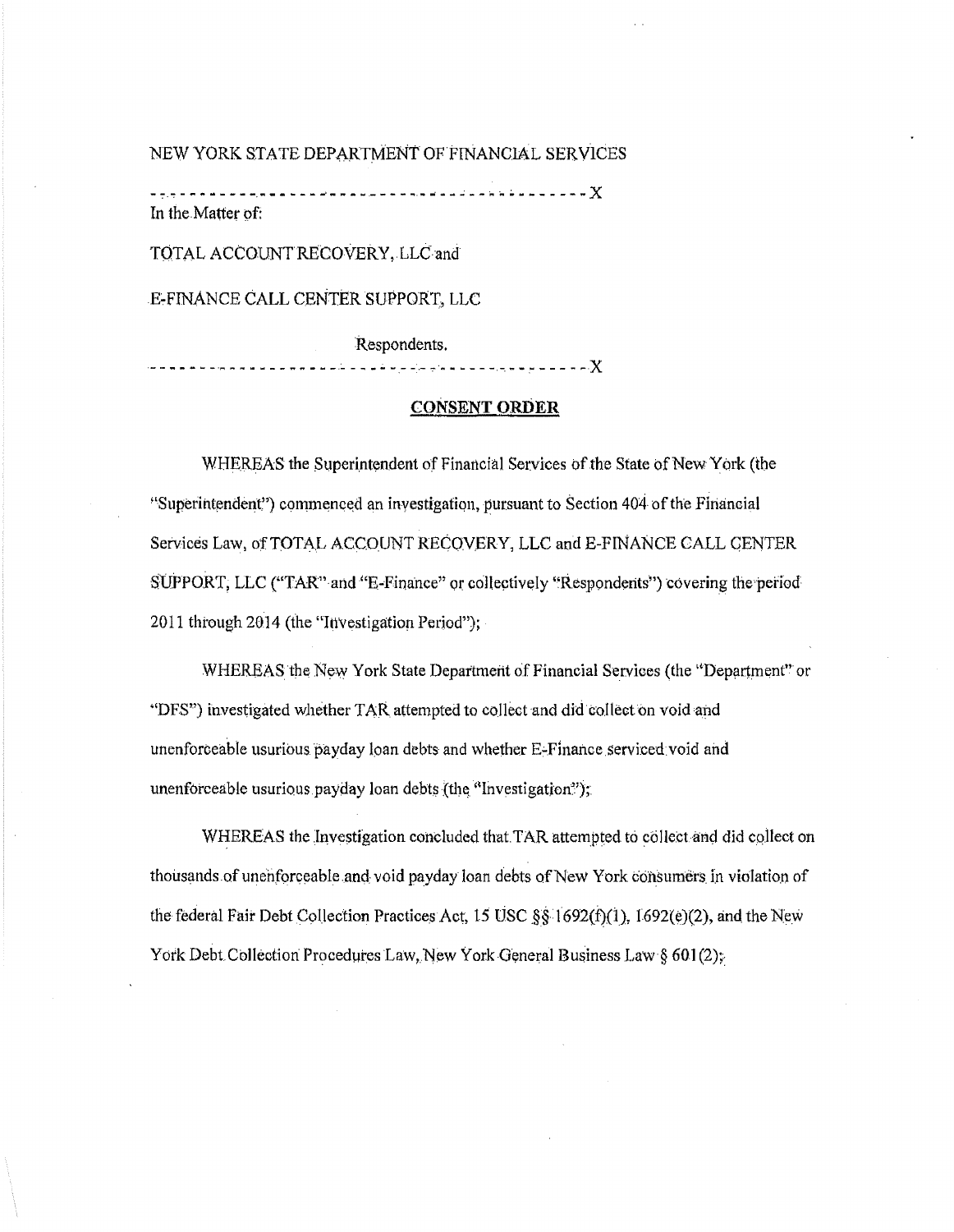NEW YORK STATE DEPARTMENT OF FINANCIAL SERVICES

In the Matter of:

TOTAL ACCOUNT RECOVERY, LLC and

E-FINANCE CALL CENTER SUPPORT, LLC

Respondents. . . . . . . . . . . . . . . . . . X 

## **CONSENT ORDER**

WHEREAS the Superintendent of Financial Services of the State of New York (the "Superintendent") commenced an investigation, pursuant to Section 404 of the Financial Services Law, of TOTAL ACCOUNT RECOVERY, LLC and E-FINANCE CALL CENTER SUPPORT, LLC ("TAR" and "E-Finance" or collectively "Respondents") covering the period 2011 through 2014 (the "Investigation Period");

WHEREAS the New York State Department of Financial Services (the "Department" or "DFS") investigated whether TAR attempted to collect and did collect on void and unenforceable usurious payday loan debts and whether E-Finance serviced void and unenforceable usurious payday loan debts (the "Investigation");

WHEREAS the Investigation concluded that TAR attempted to collect and did collect on thousands of unenforceable and void payday loan debts of New York consumers in violation of the federal Fair Debt Collection Practices Act, 15 USC §§ 1692(f)(1), 1692(e)(2), and the New York Debt Collection Procedures Law, New York General Business Law § 601(2);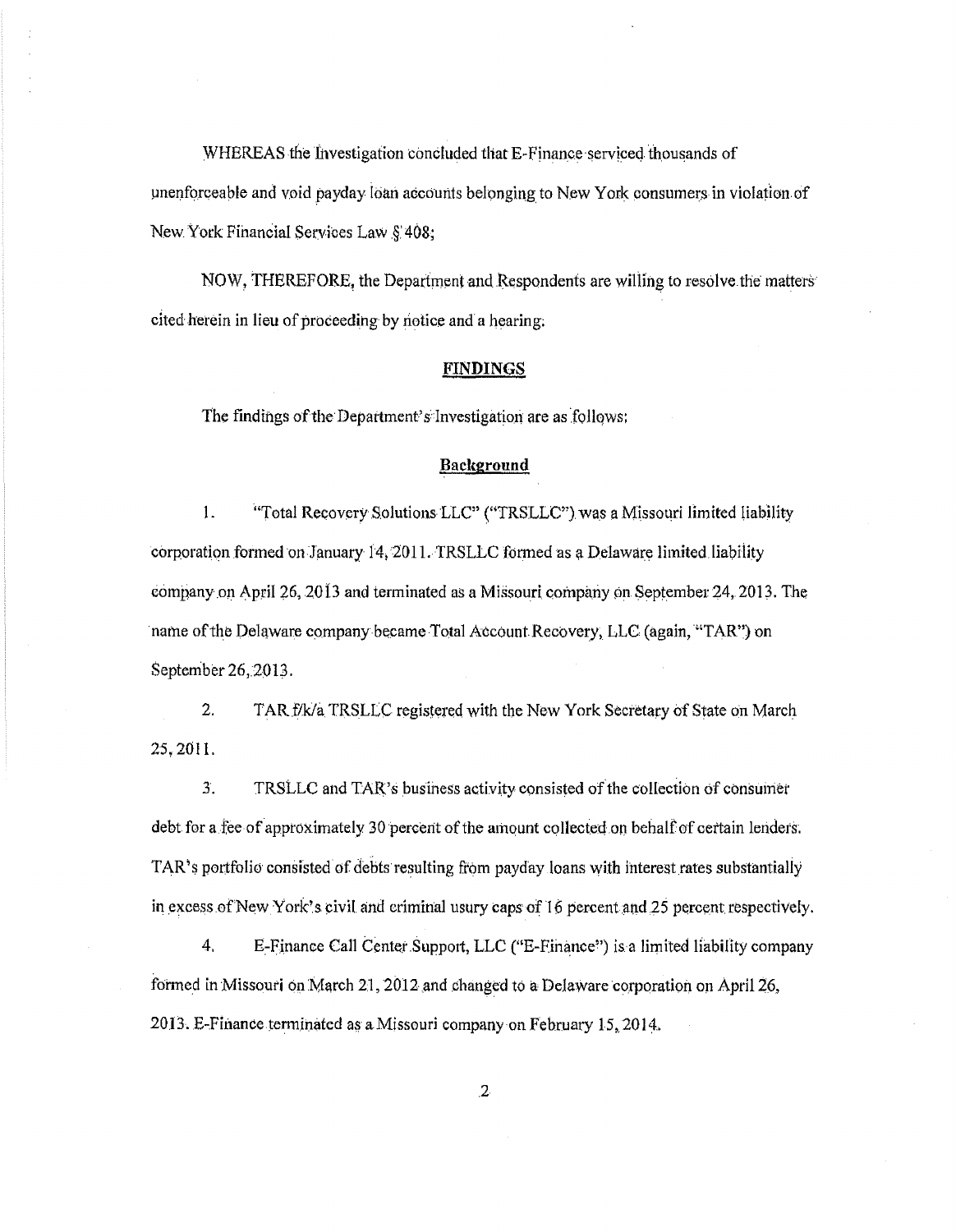WHEREAS the Investigation concluded that E-Finance serviced thousands of imenforceable and void payday loan acicaunts belonging to New York consumers in violation of New York Financial Services Law §: 408;

NOW, THEREFORE, the Department and Respondents are willing to resolve the matters cited herein in lieu of proceeding by notice and a hearing;

### **FINDINGS**

The findings of the Department's Investigation are as follows;

# Background

1. "Total Recovery Solutions LLC" ("TRSLLC") was a Missouri limited liability corporation formed on January 14, 2011. TRSLLC formed as a Delaware limited liability company on April 26, 2013 and terminated as a Missouri company on September 24, 2013. The name of the Delaware company became Total Account Recovery, LLC (again, "TAR") on September 26, 2013.

2. TAR f/k/a TRSLLC registered with the New York Secretary of State on March 25,2011.

3. TRSLLC and TAR's business activity consisted of the collection of consumer debt for a.fee of approximately 30 percent of the arnount collected *on* behalf of certain lenders. TAR's portfolio consisted of debts resulting from payday loans with interest rates substantially in excess of New York's civil and criminal usury caps of 16 percent and 25 percent respectively.

4. E-Finance Call Center Support, LLC ("E-Finance") is a limited liability company formed in Missouri on March 21, 2012 and changed to a Delaware corporation on April 26, 2013. E-Finance terminated as a Missouri company on February 15, 2014.

 $\overline{2}$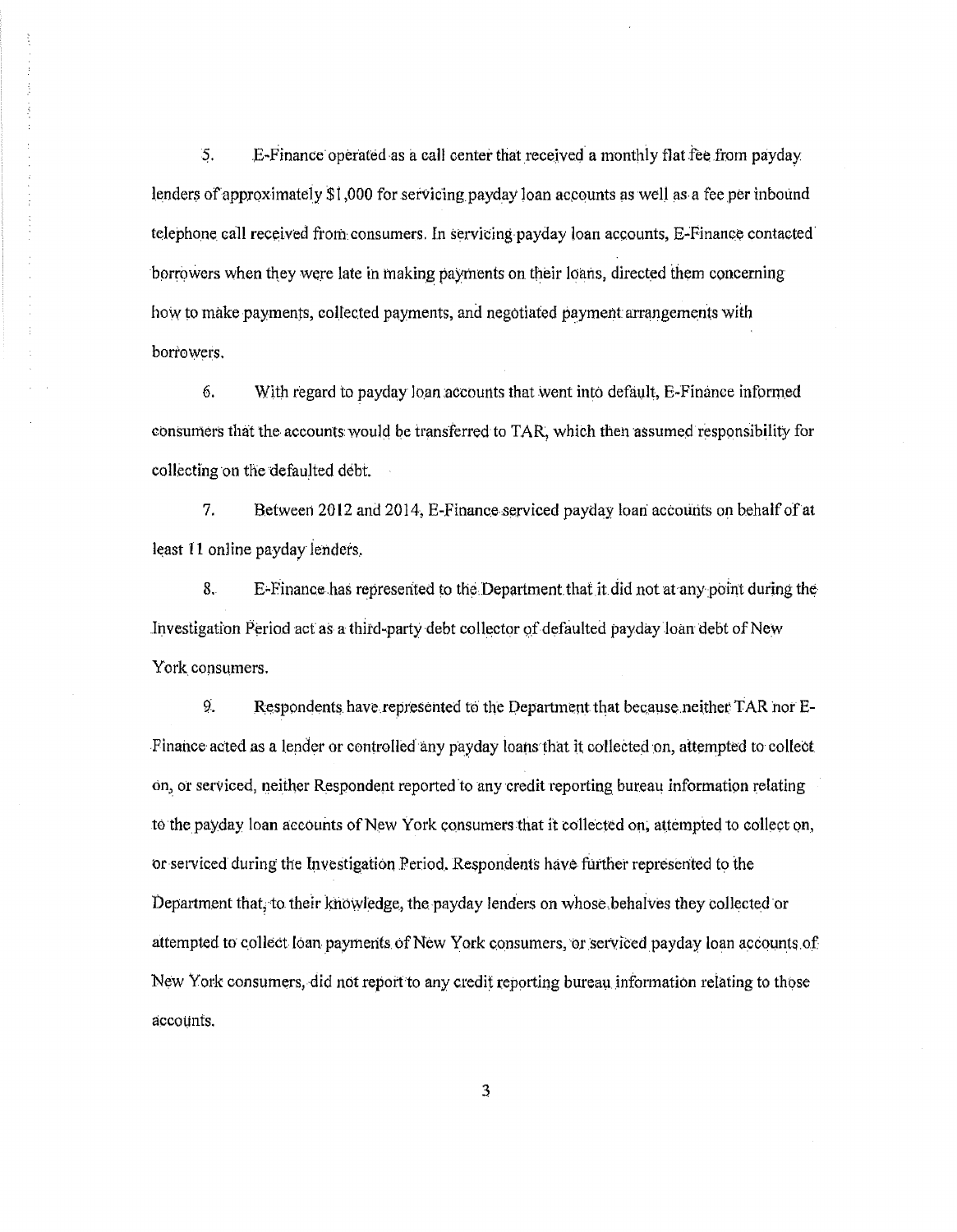5. **E-Finance operated as a call center that received a monthly flat fee from payday** lenders of approximately \$1,000 for servicing payday loan accounts as well as a fee per inbound telephone call received from consumers. In servicing payday loan accounts, E-Finance contacted borrowers when they were late in making payments on their loans, directed them concerning how to make payments, collected payments, and negotiated payment arrangements with borrowers.

6. With regard to payday loan accounts that went into default, E-Finance informed consumers that the accounts would be transferred to TAR, which then assumed responsibility for collecting on the defaulted debt.

7. Between 2012 and 2014, E-Finance serviced payday loan accounts on behalf of at least 11 online payday lenders.

8. E-Finance has represented to the Department that it did not at any point during the Investigation Period act as a third-party debt collector of defaulted payday loan debt of New York consumers.

9. Respondents have represented to the Department that because neither TAR nor E-Finance acted as a lender or controlled any payday loans that it collected on, attempted to collect on, or serviced, neither Respondent reported to any credit reporting bureau information relating to the payday loan accounts of New York consumers that it collected on, attempted to collect on, or serviced during the Investigation Period. Respondents have further represented to the Department that, to their knowledge, the payday lenders on whose behalves they collected or attempted to collect loan payments of New York consumers, or serviced payday loan accounts of New York consumers, did not report to any credit reporting bureau information relating to those accounts.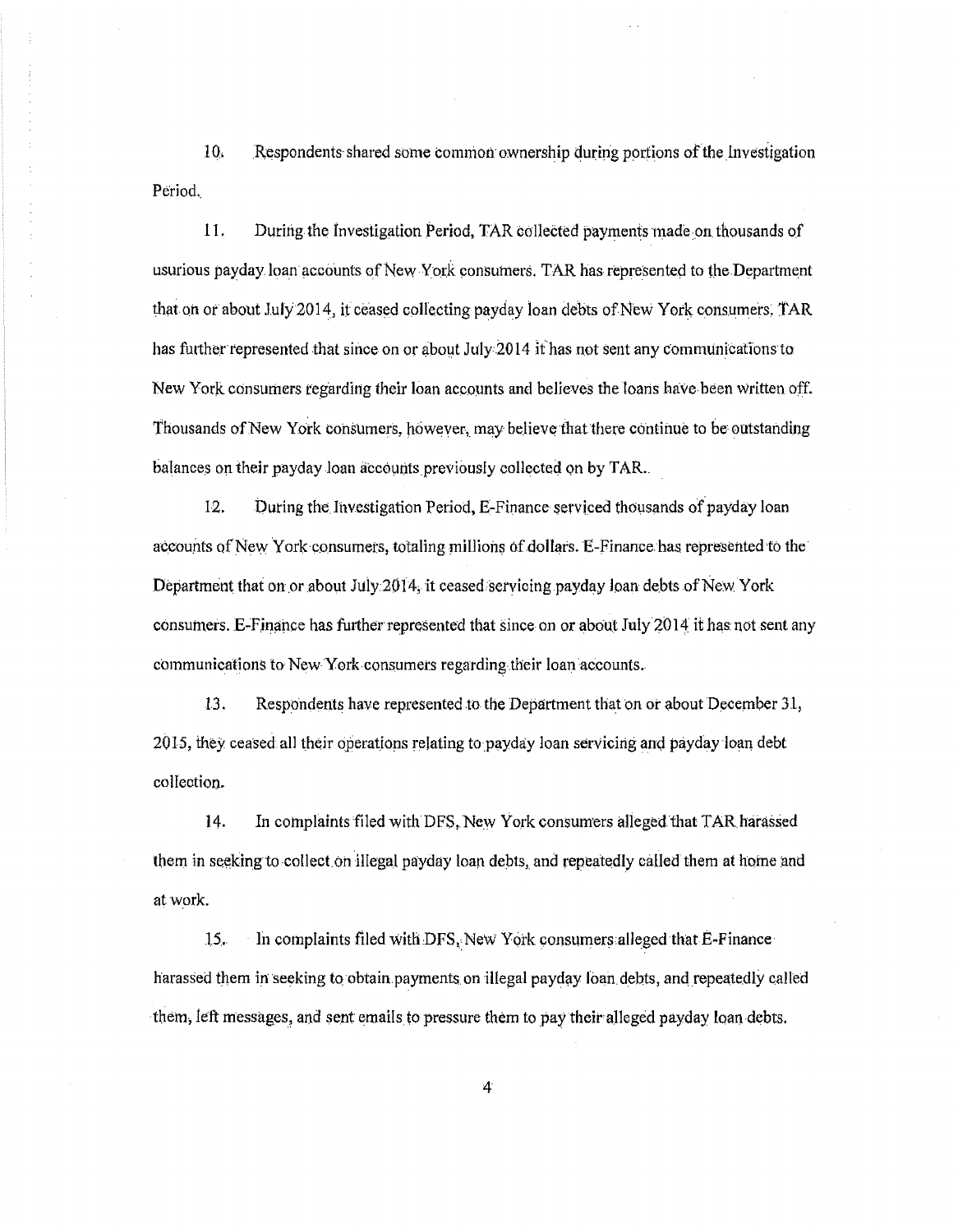10, Respondents shared some commort ownership during portions ofthe investigation Period..

11. During the Investigation Period, TAR collected payments made on thousands of usurious payday loan accounts of New York consumers. TAR has represented to the Department that on or about July 2014, it ceased collecting payday loan debts of New York consumers. TAR has further represented that since on or about July 2014 it has not sent any communications to New York consumers regarding their loan accounts and believes the loans have been Written off. Thousands of New York consumers, however, may believe thatthere continue to be outstanding balances on their payday Joan accounts previously collected on by TAR..

12. During the Investigation Period, E-Finance serviced thousands of payday loan accounts of New York consumers, totaling millions of dollars. E-Finance has represented to the Department that on or about July 2014, it ceased servicing payday loan debts of New York consumers. E-Finance has further represented that since on or about July 2014 it has not sent any communications to New York consumers regarding their loan accounts.

13. Respondents have represented to the Department that on or about December 31, 2015, they ceased all their operations relating to payday loan servicing and payday loan debt collection.

14. In complaints filed with DFS, New York consumers alleged that TAR harassed them in seeking to collect on illegal payday loan debts, and repeatedly called them at home and at work.

15. In complaints filed with DFS, New York consumers alleged that E-Finance harassed them in seeking to obtain payments on illegal payday loan debts, and repeatedly called them, left messages, and sent emails to pressure them to pay their alleged payday loan debts.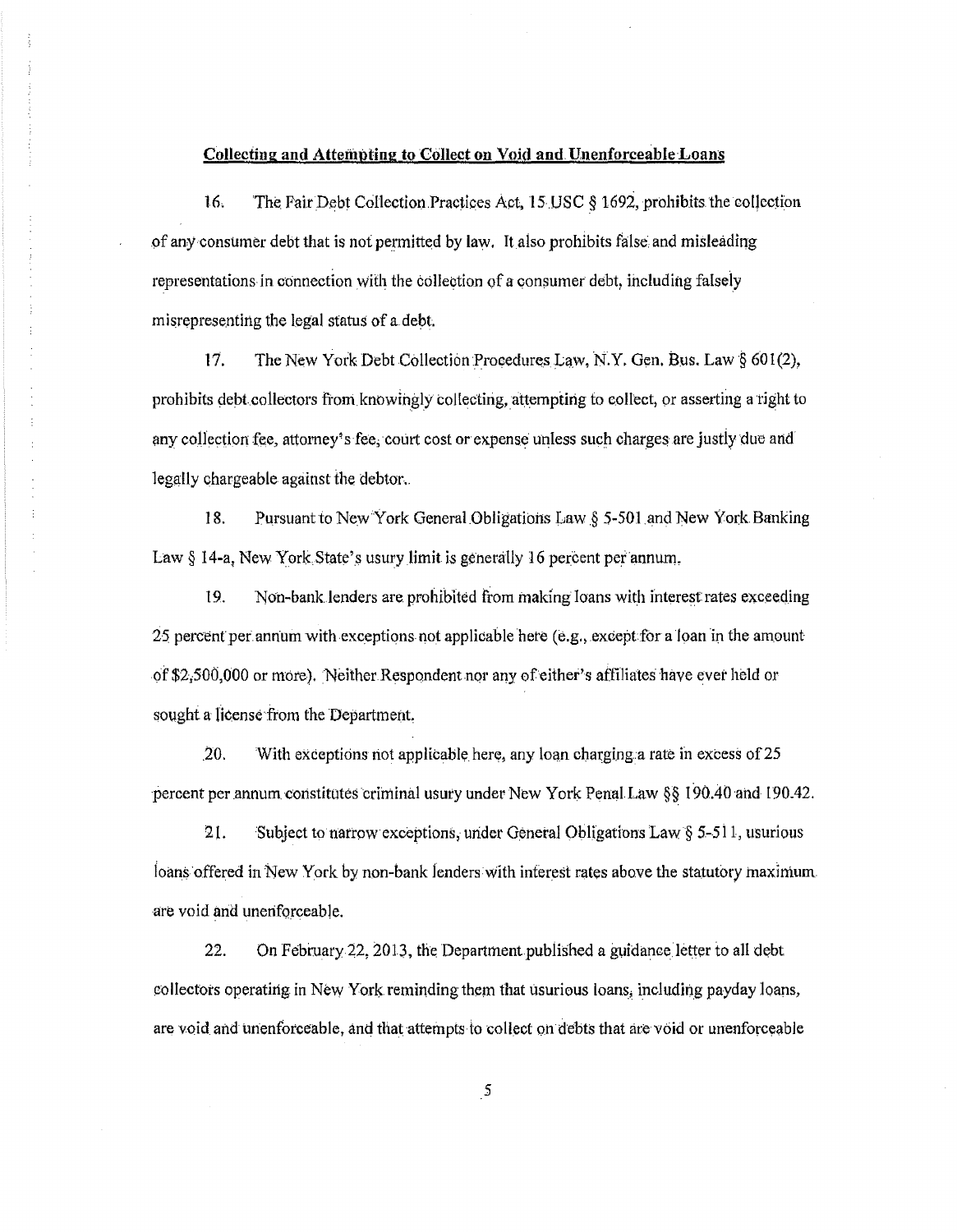# Collecting and Attempting to Collect on Void and Unenforceable Loans

 $16.$ The Fair Debt Collection Practices Act, 15 USC § 1692, prohibits the collection of any consumer debt that is not permitted by law. It also prohibits false and misleading representations in connection with the collection of a consumer debt, including falsely misrepresenting the legal status of a debt.

 $17.$ The New York Debt Collection Procedures Law, N.Y. Gen. Bus. Law § 601(2), prohibits debt collectors from knowingly collecting, attempting to collect, or asserting a right to any collection fee, attorney's fee, court cost or expense unless such charges are justly due and legally chargeable against the debtor.

18. Pursuant to New York General Obligations Law § 5-501 and New York Banking Law § 14-a, New York State's usury limit is generally 16 percent per annum.

19. Non-bank lenders are prohibited from making loans with interest rates exceeding 25 percent per annum with exceptions not applicable here (e.g., except for a loan in the amount of \$2,500,000 or more). Neither Respondent nor any of either's affiliates have ever held or sought a license from the Department.

20. With exceptions not applicable here, any loan charging a rate in excess of 25 percent per annum constitutes criminal usury under New York Penal Law §§ 190.40 and 190.42.

21. Subject to narrow exceptions, under General Obligations Law  $\S$  5-511, usurious loans offered in New York by non-bank lenders with interest rates above the statutory maximum. are void and unenforceable.

22. On February 22, 2013, the Department published a guidance letter to all debt collectors operating in New York reminding them that usurious loans, including payday loans, are void and unenforceable, and that attempts to collect on debts that are void or unenforceable

 $\mathfrak{s}$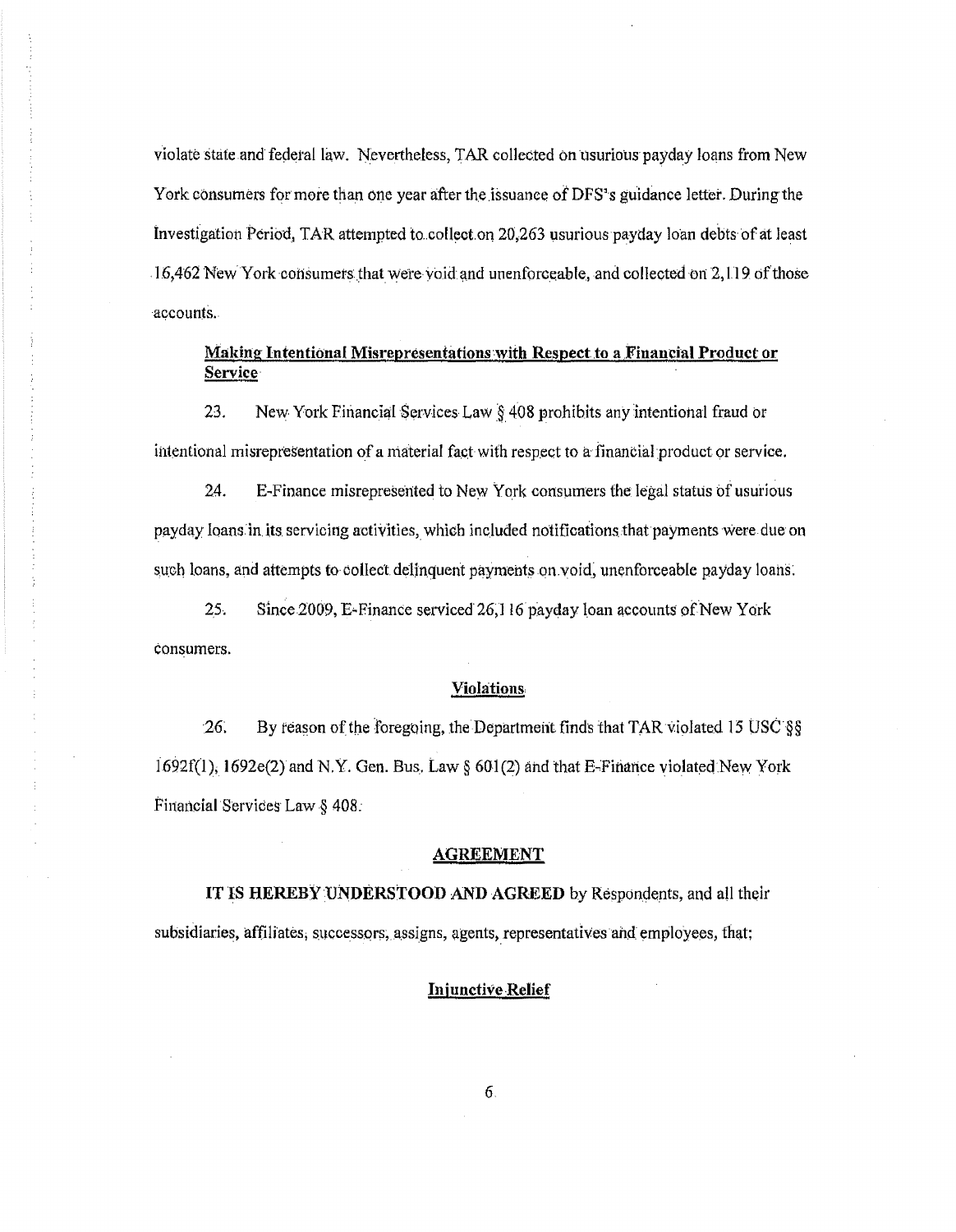violate state and federal law. Nevertheless, TAR collected on usurious payday loans from New York consumers for more than one year after the issuance of DFS's guidance letter. During the Investigation Period, TAR attempted to collect on  $20,263$  usurious payday loan debts of at least  $16,462$  New York consumers that were void and unenforceable, and collected on 2, LI 9. of those accounts.

# Making Intentional Misrepresentations with Respect to a Financial Product or Service

23. New York Financial Services Law *§*408 prohibits any intentional fraud or intentional misrepresentation of a material fact with respect to a financial product or service.

24. E-Finance misrepresented to New York consumers the legal status of usurious payday loans in its. servicing activities, which included notifications that payments were due on such loans, and attempts to collect delinquent payments on void, unenforceable payday loans.

25. Since 2009, E-Finance serviced 26,116 payday loan accounts of New York consumers.

## Violations

26; By reason of the foregoing, the Department finds that TAR violated 15 USC §§  $1692f(1)$ ; 1692e(2) and N.Y. Gen. Bus. Law § 601(2) and that E-Finance violated New York Financial Services Law § 408.

#### AGREEMENT

IT IS HEREBY UNDERSTOOD AND AGREED by Respondents, and all their subsidiaries, affiliates, successors, assigns, agents, representatives and employees, that;

# **Injunctive Relief**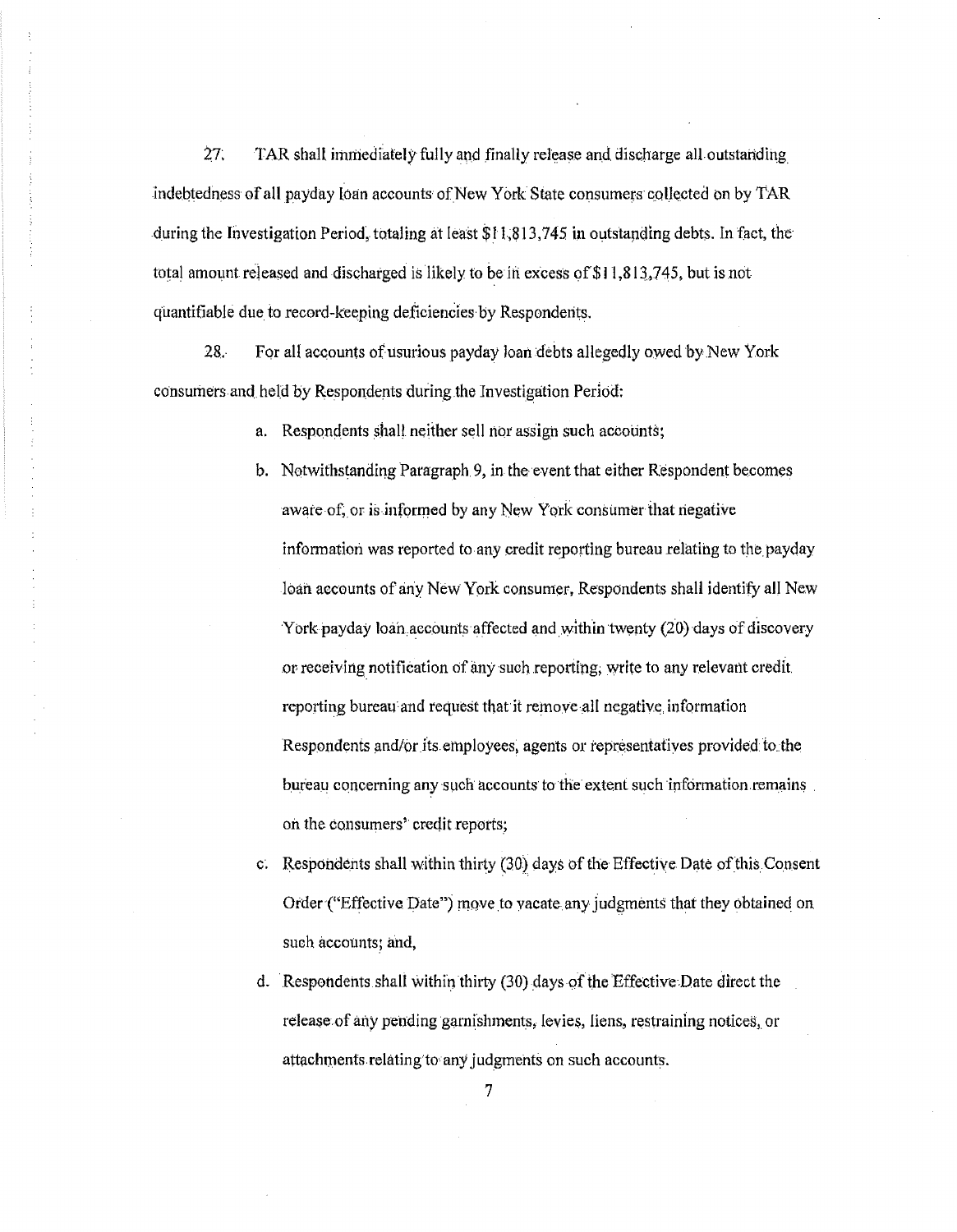27. TAR shall immediately fully and finally release and discharge all outstanding indebtedness of all payday toan accounts of New York State consumers collected on by TAR during the Investigation Period, totaling at least \$11,813,745 in outstanding debts. In fact, the total amount released and discharged is likely to be in excess of \$11,813,745, but is not quantifiable due to record-keeping deficiencies by Respondents.

For all accounts of usurious payday loan debts allegedly owed by New York 28. consumers and held by Respondents during the Investigation Period:

a. Respondents shall neither sell nor assign such accounts;

- b. Notwithstanding Paragraph 9, in the event that either Respondent becomes aware of, or is informed by any New York consumer that negative information was reported to any credit reporting bureau relating to the payday loan accounts of any New York consumer, Respondents shall identify all New York payday loan accounts affected and within twenty (20) days of discovery or receiving notification of any such reporting, write to any relevant credit. reporting bureau and request that it remove all negative information Respondents and/or its employees, agents or representatives provided to the bureau concerning any such accounts to the extent such information remains on the consumers' credit reports;
- c. Respondents shall within thirty (30) days of the Effective Date of this Consent Order ("Effective Date") move to vacate any judgments that they obtained on such accounts; and,
- d. Respondents shall within thirty (30) days of the Effective Date direct the release of any pending garnishments, levies, liens, restraining notices, or attachments relating to any judgments on such accounts.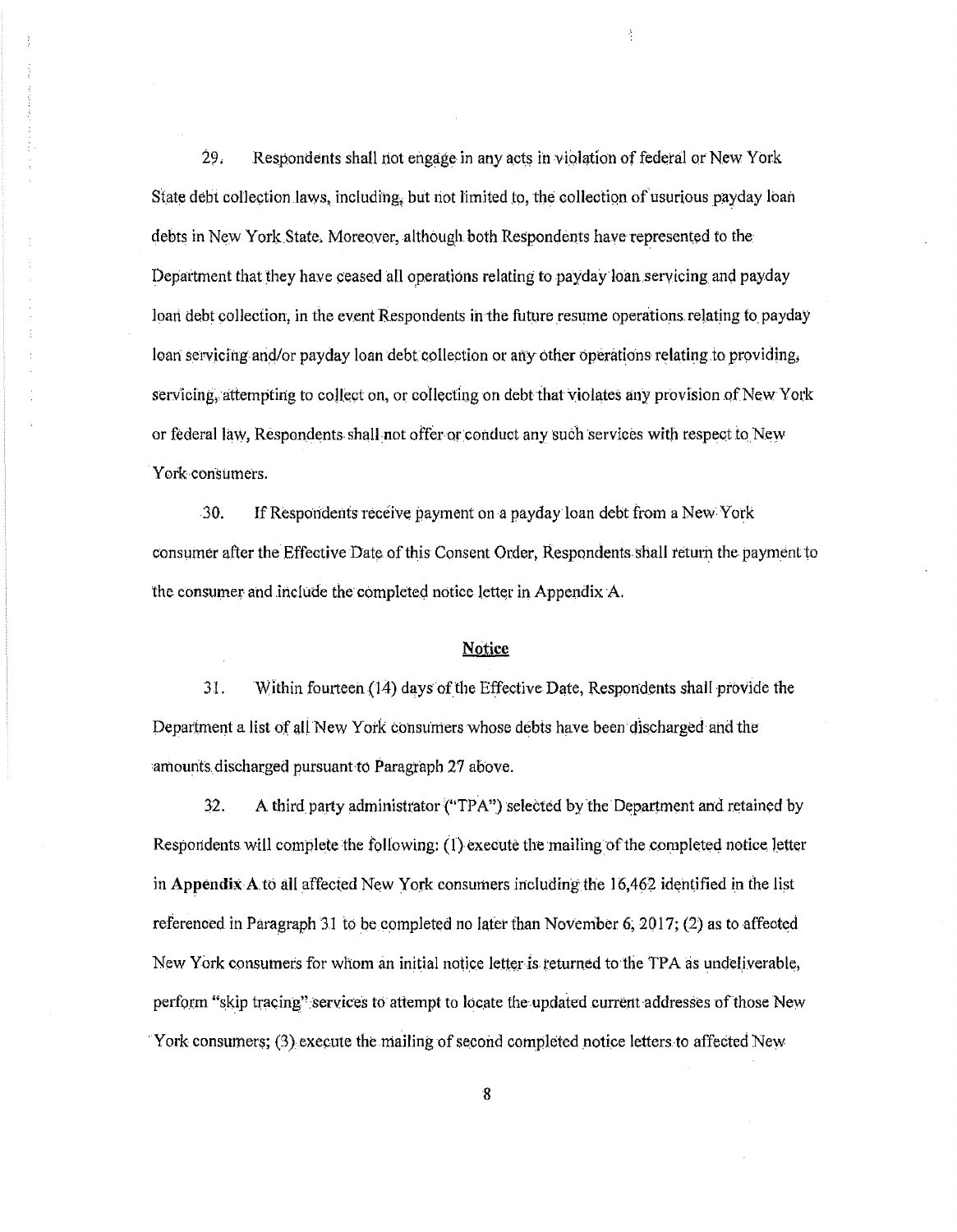29. Respondents shall not engage in any acts in violation of federal or New York State debt collection laws, including, but not limited to, the collection of usurious payday loan debts in New York State. Moreover, although both Respondents have represented to the Department that they have ceased all operations relating to payday loan servicing and payday loan debt collection, in the event Respondents in the future resume operations relating to payday loan servicing and/or payday loan debt collection or any other operations relating to providing, servicing, attempting to collect on, or collecting on debt that violates any provision of New York or federal law, Respondents shall not offer or conduct any such services with respect to New York consumers.

ł

30. If Respondents receive payment on a payday loan debt from a New York consumer after the Effective Date of this Consent Order, Respondents shall return the payment to the consumer and include the completed notice letter in Appendix A.

# **Notice**

31. Within fourteen  $(14)$  days of the Effective Date, Respondents shall provide the Department a list of all New York consumers whose debts have been discharged and the amounts discharged pursuant to Paragraph 27 above.

32. A third party administrator ("TPA") selected by the Department and retained by Respondents will complete the following: (1) execute the mailing of the completed notice letter in Appendix A to all affected New York consumers including the  $16,462$  identified in the list referenced in Paragraph 31 to be completed no later than November 6; 2017; (2) as to affected New York consumers for whom an initial notice letter is returned to the TPA as undeliverable, perform "skip tracing" services to attempt to locate the updated current addresses of those New York consumers; (3) execute the mailing of second completed notice letters to affected New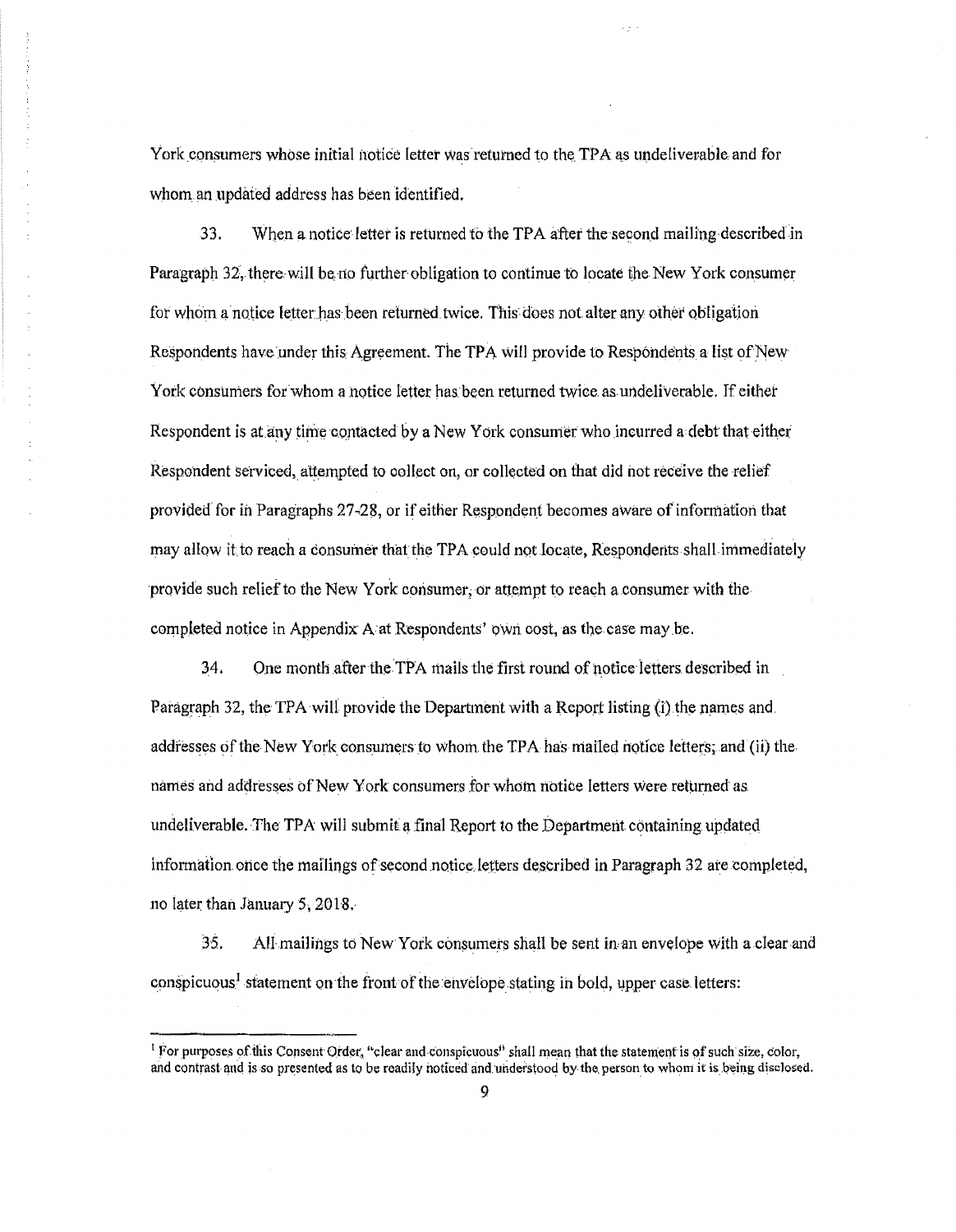York consumers whose initial notice letter was returned to the TPA as undeliverable and for whom. an updated address has been identified.

33. When a notice letter is returned to the TPA after the second mailing described in Paragraph 32, there will be no further obligation to continue to locate the New York consumer for whom a notice letter has been returned twice. This does not alter any other obligation Respondents have under this Agreement. The TPA will provide to Respondents a list of New York consumers for whom a notice letter has been returned twice as undeliverable. If either Respondent is at any time contacted by a New York consumer who incurred a debt that either Respondent serviced, attempted to collect on, or collected on that did not receive the relief provided for in Paragraphs 27-28, or if either Respondent becomes aware of information that may allow it to reach a consumer that the TPA could not locate, Respondents shall immediately provide such relief to the New York consumer, or attempt to reach a consumer with the completed notice in Appendix A at Respondents' own cost, as the case may be.

34. One month after the TPA mails the first round of notice letters described in Paragraph 32, the TPA will provide the Department with a Report listing (i) the names and addresses of the New York consumers to whom the TPA has mailed notice letters; and (ii) the names and addresses of New York consumers for whom notice letters were returned as. undeliverable. The TPA will submit a final Report to the Department containing updated information once the mailings of second notice letters described in Paragraph 32 are completed, no later than January 5, 2018.

35. All mailings to NewYork consumers shall be sent inan envelope with a clear and conspicuous<sup>1</sup> statement on the front of the envelope stating in bold, upper case letters:

I For purposes of this Consent Order, "clear and conspicuous" shall mean that the statement is of such size, color, and contrast and is so presented as to be readily noticed and understood by the person to whom it is being disclosed.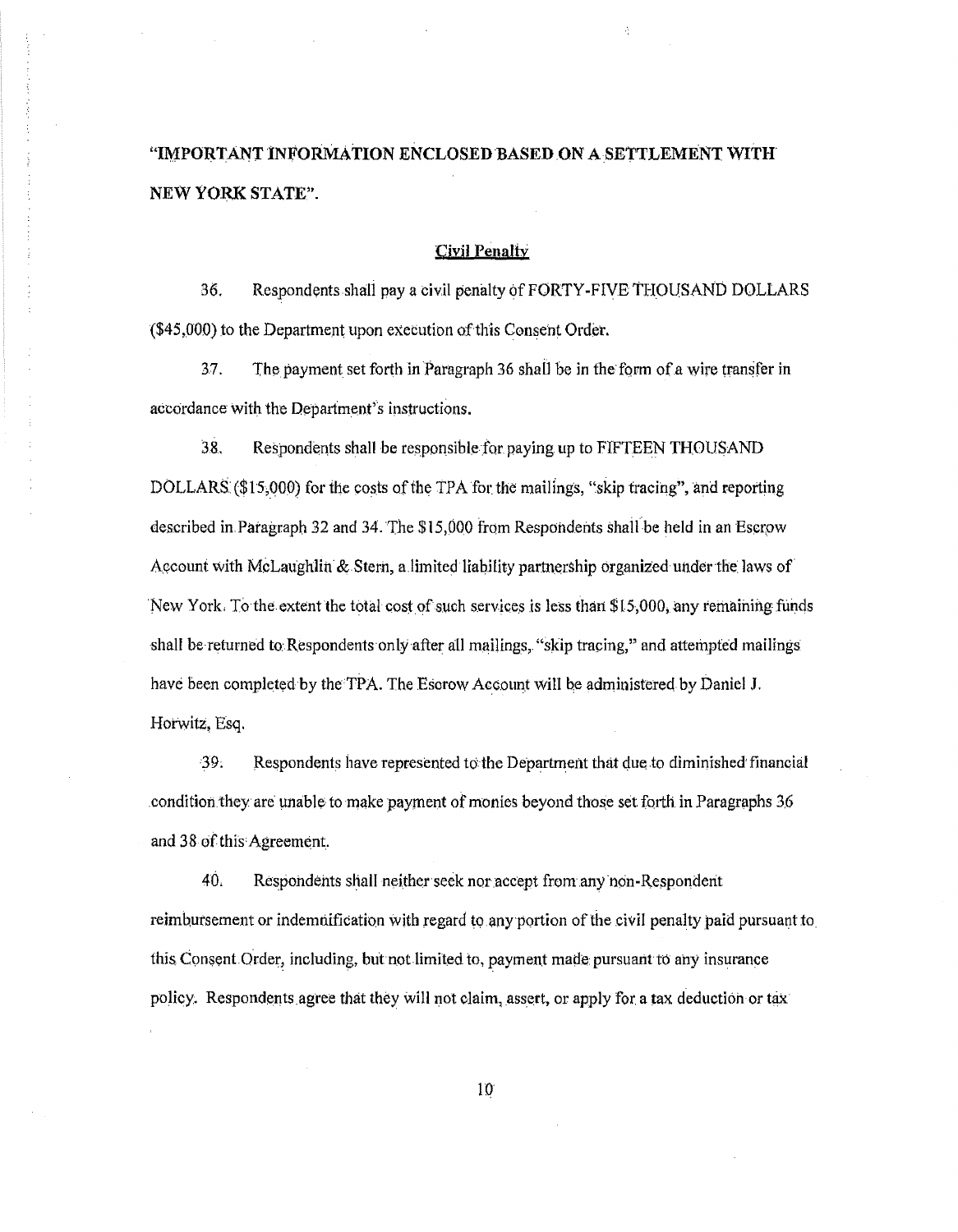# "IMPORTANT INFORMATION ENCLOSED BASED ON A SETTLEMENT WITH NEW YORK STATE".

# Civil Penalty

36. Respondents shall pay a civil penalty of FORTY-FIVE THOUSAND DOLLARS (\$45,000) to the Department upon execution of this Consent Order.

 $37.$  The payment set forth in Paragraph 36 shall be in the form of a wire transfer in accordance with the Department's instructions.

38. Respondents shall be responsible for paying up to FIFTEEN THOUSAND DOLLARS (\$15,000) for the costs of the TPA for the mailings, "skip tracing", and reporting described in Paragraph 32 and 34. The \$15,000 from Respondents shall be held in an Escrow AQcount with McLaughlin & Stern, a.limited liability partnership organized under the laws of New York. To the extent the total cost of such services is less than \$15,000, any remaining funds shall be returned to Respondents only after all mailings, "skip tracing," and attempted mailings have been completed by the TPA. The Escrow Account will be administered by Daniel J. Horwitz, Esq.

39. Respondents have represented to the Department that due to diminished financial .condition.they are unable to make payrnent of monies beyond those set. forth in Paragraphs 3,6 and 38 of this Agreem¢nt.

40. Respohdehts shall neither seek nor accept from any non-Respondent reimbursement or indemnification with regard to any portion of the civil penalty paid pursuant to this Consent Order, including, but not limited to, payment made pursuant to any insurance policy. Respondents agree that they will not claim, assert, or apply for a tax deduction or tax

 $10<sup>°</sup>$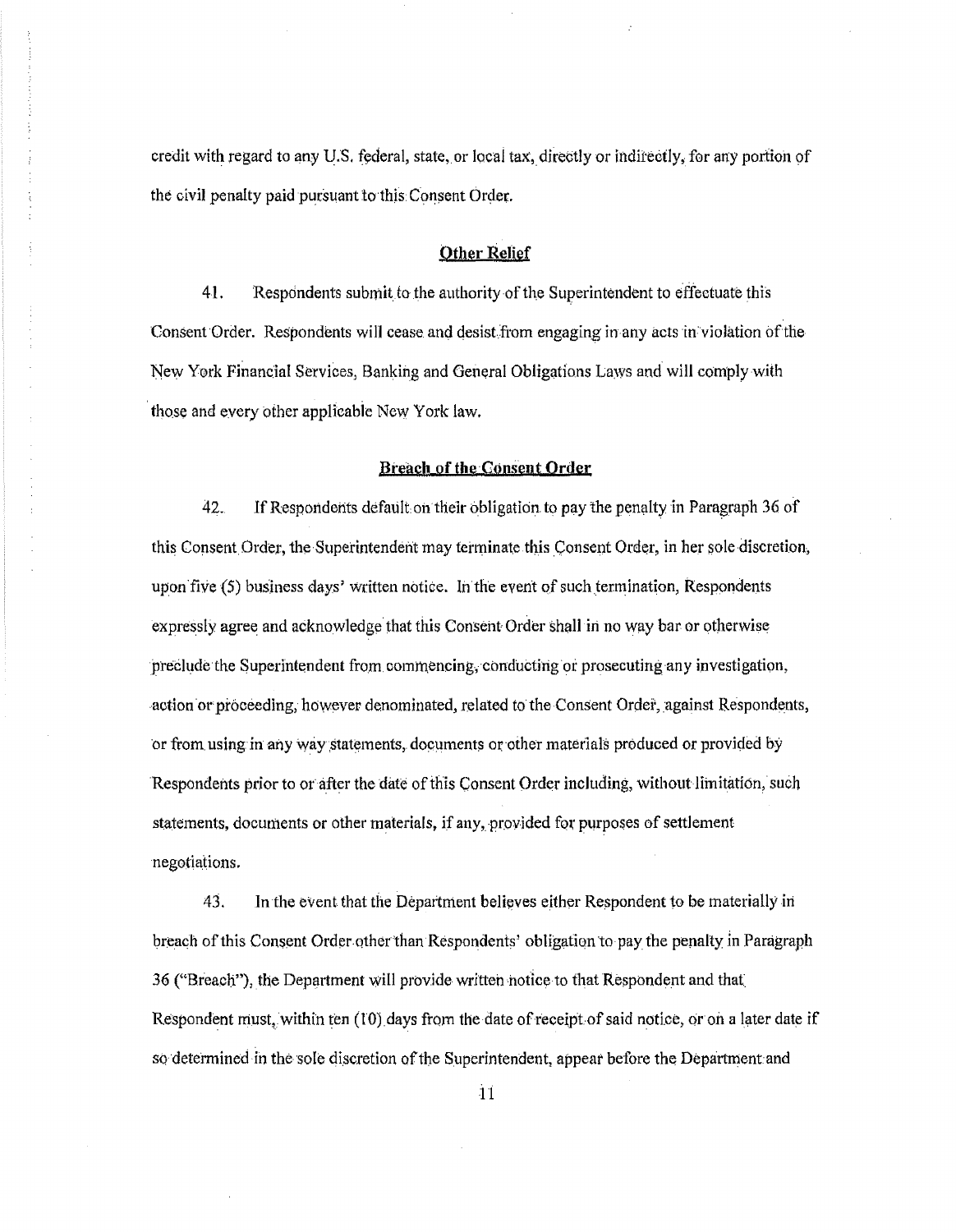credit with regard to any U.S. federal, state, or local tax, directly or indirectly, for any portion of the civil penalty paid pursuant to this Consent Order.

### Other Relief

41. Respondents submit to the authority of the Superintendent to effectuate this Consent Order. Respondents will cease and desist from engaging in any acts in violation of the New York Financial Services, Banking and General Obligations Laws and will comply with those and every other applicable New York law.

### Breach of the Consent Order

42. If Respondents default on their obligation to pay the penalty in Paragraph 36 of this Consent Order, the Superintendent may terminate this Consent Order, in her sole discretion, upon five (5) business days' written notice. In the event of such termination, Respondents expressly agree and acknowledge· that this Consent Order shall in no way bar or otherwise preclude the Superintendent from commencing, conducting or prosecuting any investigation, action or proceeding, however denominated, related to the Consent Ordei, against Respondents, or from using in any way statements, documents or other materials produced or provided by Respondents prior to or after the date of this Consent Order including, without limitation, such statements, documents or other materials, if any, provided for purposes of settlement negotiations.

43. In the event that the Department believes either Respondent to be materially in breach of this Consent Order other than Respondents' obligation to pay the penalty in Paragraph 36 ("Breach"), the Department will provide written notice to that Respondent and that. Respondent must, within ten (IO) days from the date of receipt of said notice, or on a later date if so determined in the sole discretion of the Superintendent, appear before the Department and

il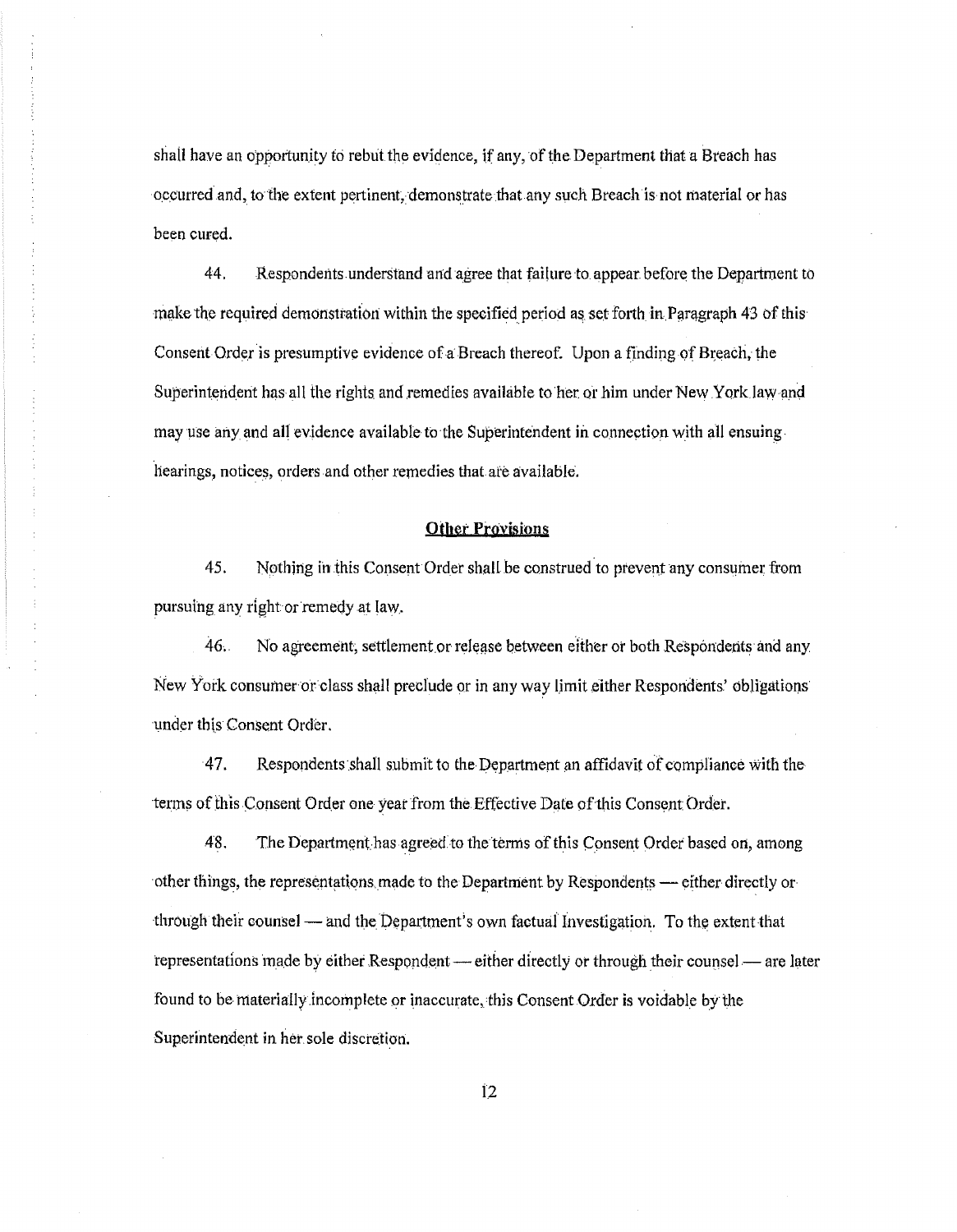shall have an opportunity to rebut the evidence, if any, of the Department that a Breach has o.c.curred and, to the extent pertinent, demonstrate that any such Breach is not material or has been cured.

44. Respondents. understand and agree that failure to. appear before the Department to ring the required demonstration within the specified period as set forth in Paragraph 43 of this Consent Order is presumptive evidence of a Breach thereof. Upon a finding of Breach, the Superintendent has all the rights and remedies available to her or him under New York law and may use any and all evidence available to the Superintendent in connection with all ensuing hearings, notices, orders and other remedies that ate available.

## **Other Provisions**

45. Nothing in this Consent Order shall be construed to prevent any consumer from pursuing any right or remedy at law.

46. No agreement, settlement or release between either or both Respondents and any New York consumer or class shall preclude or in any way limit either Respondents' obligations under this Consent Order.

· 4 7. Respondents .shall submit to the Department an affidavit of compliance with the terms of this Consent Order one year from the Effective Date of this Consent Order.

48. The Department has agreed to the terms of this Consent Order based on, among other things, the representations made to the Department by Respondents - either directly orthrough their counsel  $-$  and the Department's own factual Investigation. To the extent that representations made by either Respondent — either directly or through their counsel — are later found to be materially incomplete or inaccurate, this Consent Order is voidable by the Superintendent in her sole discretion.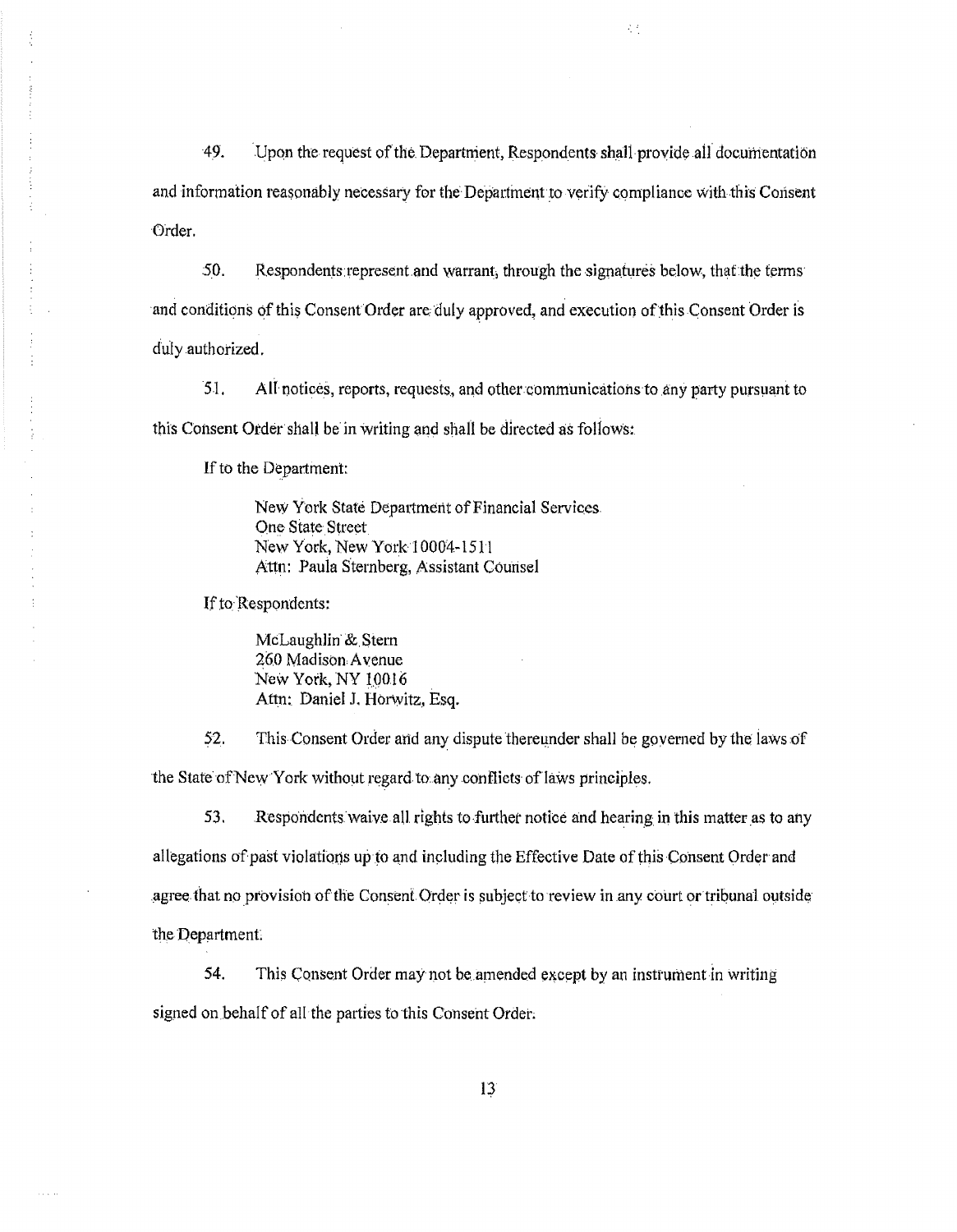49. Upon the request of the Department, Respondents shall provide all documentation and information reasonably necessary for the Department to verify compliance with this Consent Order.

经

50. Respondents represent and warrant, through the signatures below, that the terms and conditions of this Consent Order are duly approved, and execution of this Consent Order is duly authorized.

51. All notices, reports, requests, and other communications to any party pursuant to this Consent Order shall be in writing and shall be directed as follows:

If to the Department:

New York State Department of Financial Services. One State Street New York, New York 10004-1511 Attn: Paula Sternberg, Assistant Counsel

If to Respondents:

McLaughlin &. Stern 260 Madison Avenue New York, NY 19016 Attn: Daniel J. Horwitz, Esq.

52. This Consent Order and any dispute thereunder shall be governed by the laws of the State of New York without regard to any conflicts of laws principles.

53. Respondents waive all rights to further notice and hearing in this matter as to any allegations of past violations up to and including the Effective Date of this Consent Order and agree that no provision of the Consent Order is subject to review in any court or tribunal outside the Department

54. This Consent Order may not be amended except by an instrument in writing signed on behalf of all the parties to this Consent Order.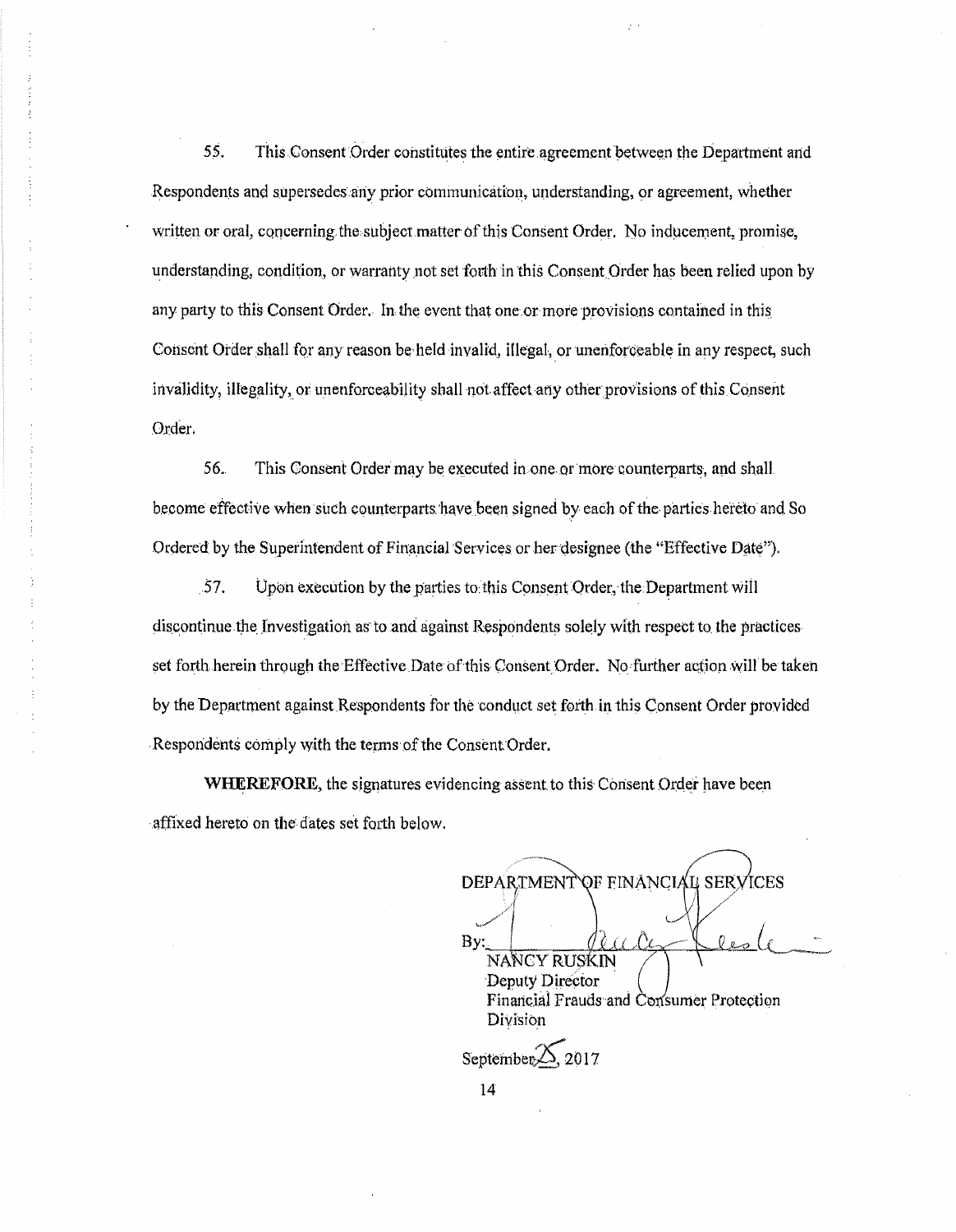55. This Consent Order constitutes the entire agreement between the Department and Respondents and supersedes any prior communication, understanding, or agreement, whether written or oral, concerning the subject matter of this Consent Order. No inducement, promise, understanding, condition, or warranty not set forth in this Consent Order has been relied upon by any party to this Consent Order. In the event that one or more provisions contained in this Consent Order shall for any reason be held invalid, illegal, or unenforceable in any respect, such invalidity, illegality, or unenforceability shall not affect any other provisions of this Consent Order.

56. This Consent Order may be executed in one or more counterparts, and shall become effective when such counterparts have been signed by each of the parties hereto and So Ordered by the Superintendent of Financial Services or her designee (the "Effective Date").

57. Upon execution by the parties to this Consent Order, the Department will discontinue the Investigation as to and against Respondents solely with respect to the practices set forth herein through the Effective Date of this Consent Order. No further action will be taken by the Department against Respondents for the conduct set forth in this Consent Order provided Respondents comply with the terms of the Consent Order.

WHEREFORE, the signatures evidencing assent to this Consent Order have been affixed hereto on the dates set forth below.

DEPARTMENT OF FINANCIAL SERVICES Bv: NANCY RUSKIN Deputy Director Financial Frauds and Consumer Protection Division September 2017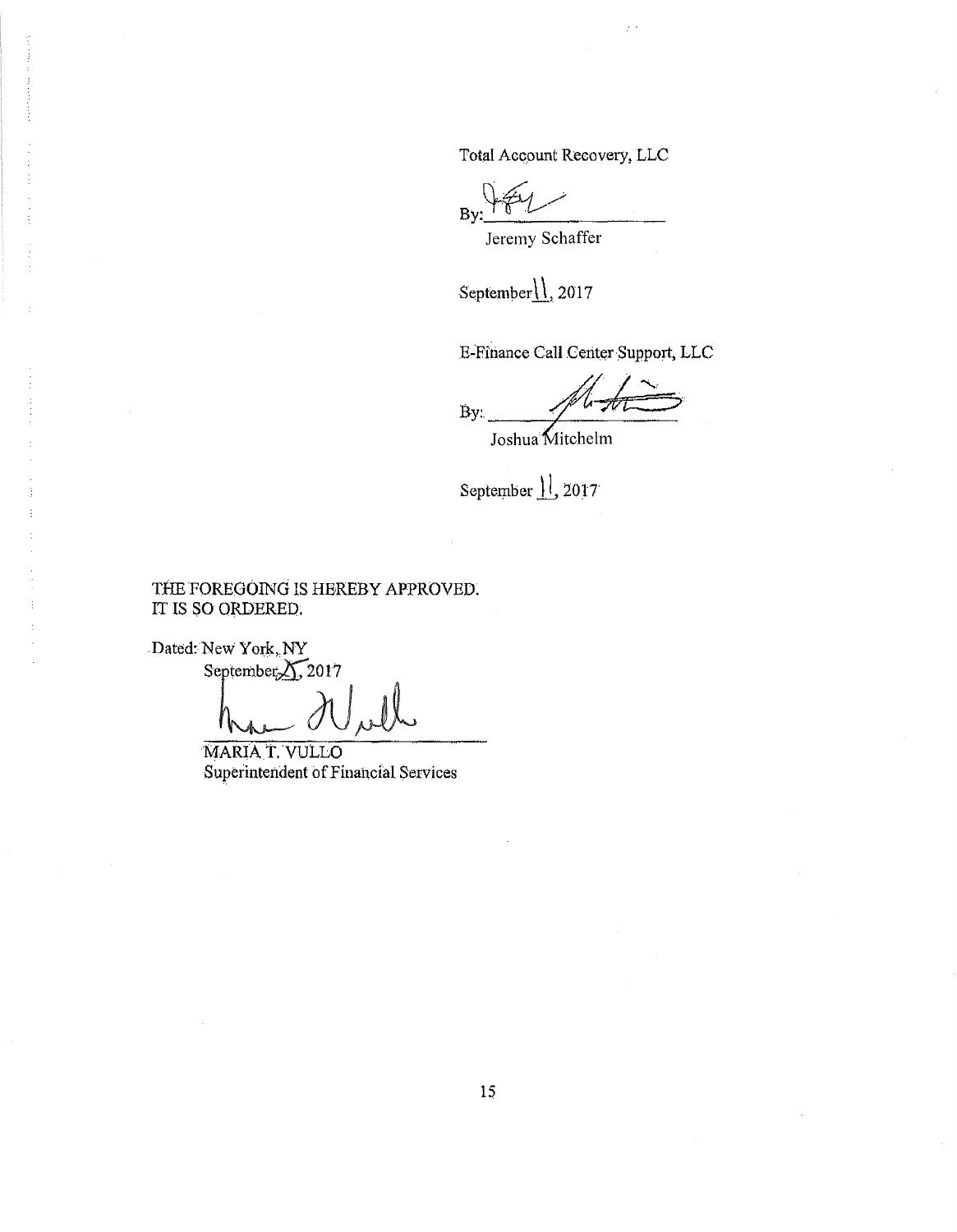Total Account Recovery, LLC

ż.

By:

Jeremy Schaffer

September<sub>1</sub>, 2017

E-Finance Call Center Support, LLC

By.

Joshua Mitchelm

September 1, 2017

THE FOREGOING IS HEREBY APPROVED. IT IS SO ORDERED.

Dated: New York, NY

September<sub>21,</sub>2017

MARIA T. VULLO Superintendent of Financial Services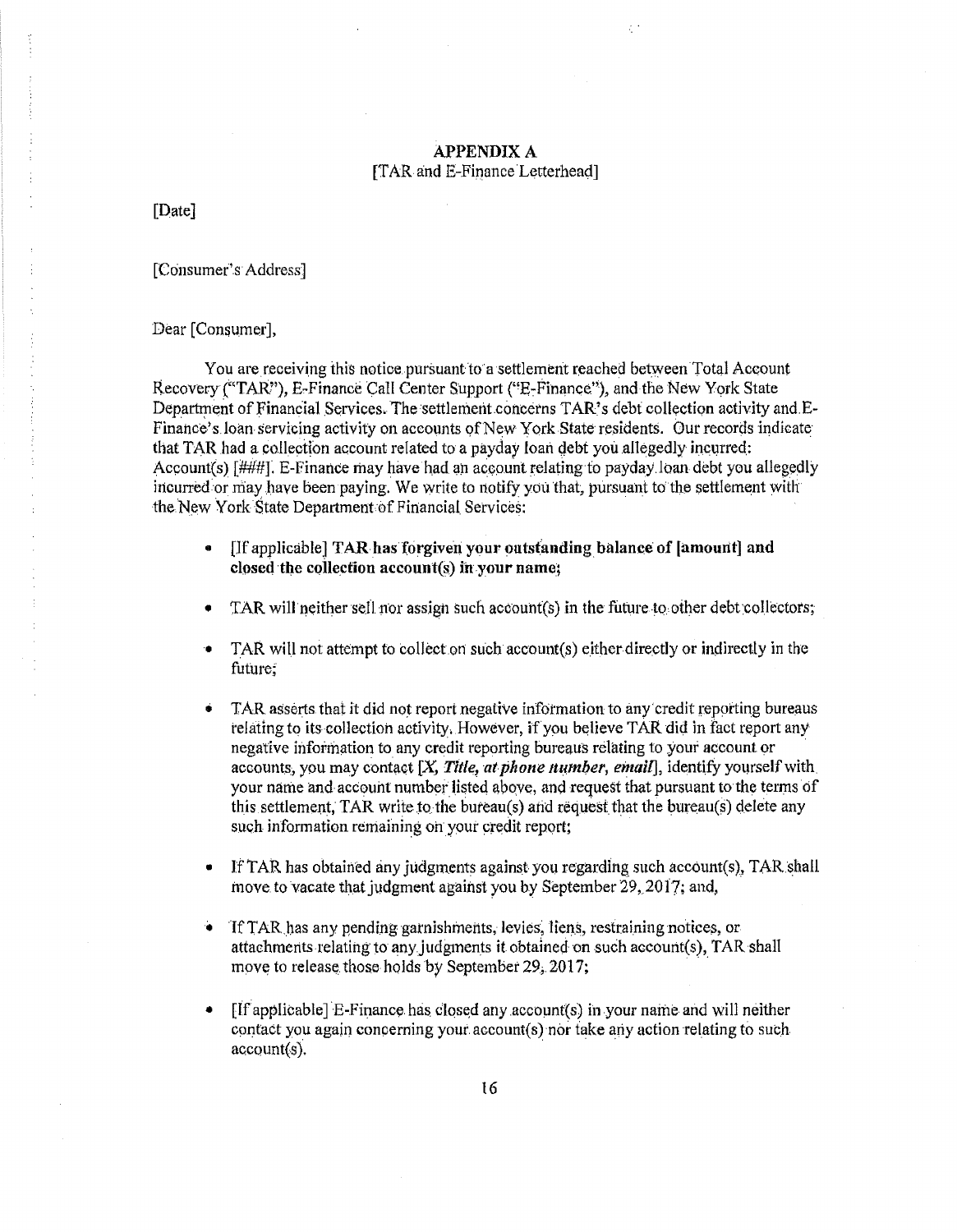# **APPENDIX A** [TAR and E-Finance Letterhead]

ć.

[Date]

[Consumer's Address]

Dear [Consumer],

You are receiving this notice pursuant to a settlement reached between Total Account Recovery ("TAR"), E-Finance Call Center Support ("E-Finance"), and the New York State Department of Financial Services. The settlement concerns TAR's debt collection activity and E-Finance's loan servicing activity on accounts of New York State residents. Our records indicate that TAR had a collection account related to a payday loan debt you allegedly incurred: Account(s) [###]. E-Finance may have had an account relating to payday loan debt you allegedly incurred or may have been paying. We write to notify you that, pursuant to the settlement with the New York State Department of Financial Services:

- [If applicable] TAR has forgiven your outstanding balance of [amount] and  $\bullet$ closed the collection account(s) in your name;
- TAR will neither sell nor assign such account(s) in the future to other debt collectors;
- TAR will not attempt to collect on such account(s) either directly or indirectly in the future;
- TAR asserts that it did not report negative information to any credit reporting bureaus ó relating to its collection activity. However, if you believe TAR did in fact report any negative information to any credit reporting bureaus relating to your account or accounts, you may contact  $[X,$  Title, at phone number, email, identify yourself with your name and account number listed above, and request that pursuant to the terms of this settlement. TAR write to the bureau(s) and request that the bureau(s) delete any such information remaining on your credit report;
- If TAR has obtained any judgments against you regarding such account(s), TAR shall  $\bullet$ move to vacate that judgment against you by September 29, 2017; and,
- If TAR has any pending garnishments, levies, liens, restraining notices, or ÷. attachments relating to any judgments it obtained on such account(s), TAR shall move to release those holds by September 29, 2017;
- [If applicable] E-Finance has closed any account(s) in your name and will neither  $\bullet$ contact you again concerning your account(s) nor take any action relating to such  $account(s)$ .